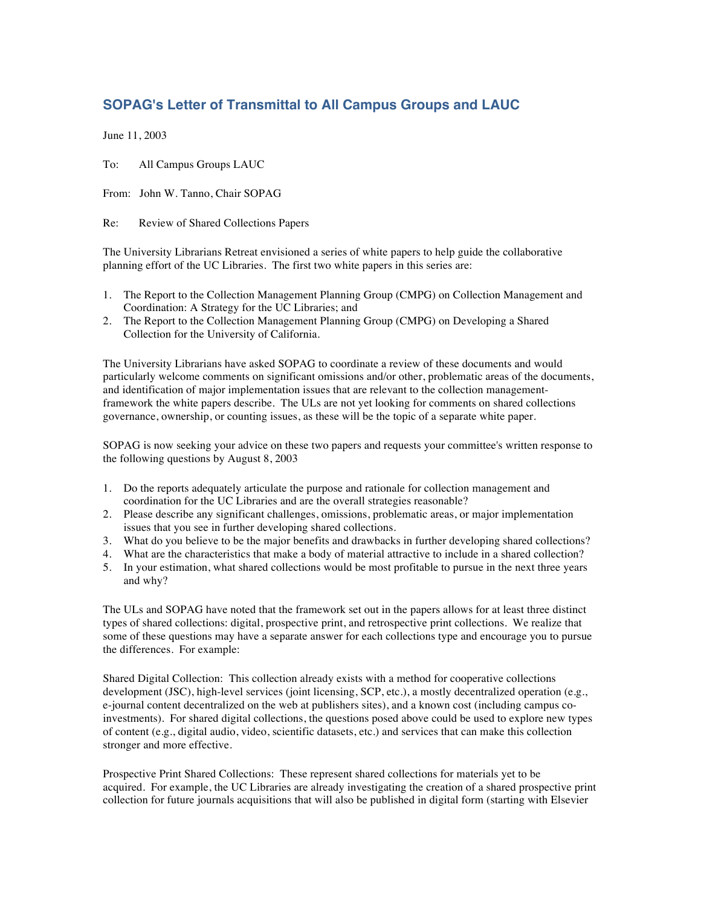## **SOPAG's Letter of Transmittal to All Campus Groups and LAUC**

June 11, 2003

To: All Campus Groups LAUC

From: John W. Tanno, Chair SOPAG

Re: Review of Shared Collections Papers

The University Librarians Retreat envisioned a series of white papers to help guide the collaborative planning effort of the UC Libraries. The first two white papers in this series are:

- 1. The Report to the Collection Management Planning Group (CMPG) on Collection Management and Coordination: A Strategy for the UC Libraries; and
- 2. The Report to the Collection Management Planning Group (CMPG) on Developing a Shared Collection for the University of California.

The University Librarians have asked SOPAG to coordinate a review of these documents and would particularly welcome comments on significant omissions and/or other, problematic areas of the documents, and identification of major implementation issues that are relevant to the collection managementframework the white papers describe. The ULs are not yet looking for comments on shared collections governance, ownership, or counting issues, as these will be the topic of a separate white paper.

SOPAG is now seeking your advice on these two papers and requests your committee's written response to the following questions by August 8, 2003

- 1. Do the reports adequately articulate the purpose and rationale for collection management and coordination for the UC Libraries and are the overall strategies reasonable?
- 2. Please describe any significant challenges, omissions, problematic areas, or major implementation issues that you see in further developing shared collections.
- 3. What do you believe to be the major benefits and drawbacks in further developing shared collections?
- 4. What are the characteristics that make a body of material attractive to include in a shared collection?
- 5. In your estimation, what shared collections would be most profitable to pursue in the next three years and why?

The ULs and SOPAG have noted that the framework set out in the papers allows for at least three distinct types of shared collections: digital, prospective print, and retrospective print collections. We realize that some of these questions may have a separate answer for each collections type and encourage you to pursue the differences. For example:

Shared Digital Collection: This collection already exists with a method for cooperative collections development (JSC), high-level services (joint licensing, SCP, etc.), a mostly decentralized operation (e.g., e-journal content decentralized on the web at publishers sites), and a known cost (including campus coinvestments). For shared digital collections, the questions posed above could be used to explore new types of content (e.g., digital audio, video, scientific datasets, etc.) and services that can make this collection stronger and more effective.

Prospective Print Shared Collections: These represent shared collections for materials yet to be acquired. For example, the UC Libraries are already investigating the creation of a shared prospective print collection for future journals acquisitions that will also be published in digital form (starting with Elsevier